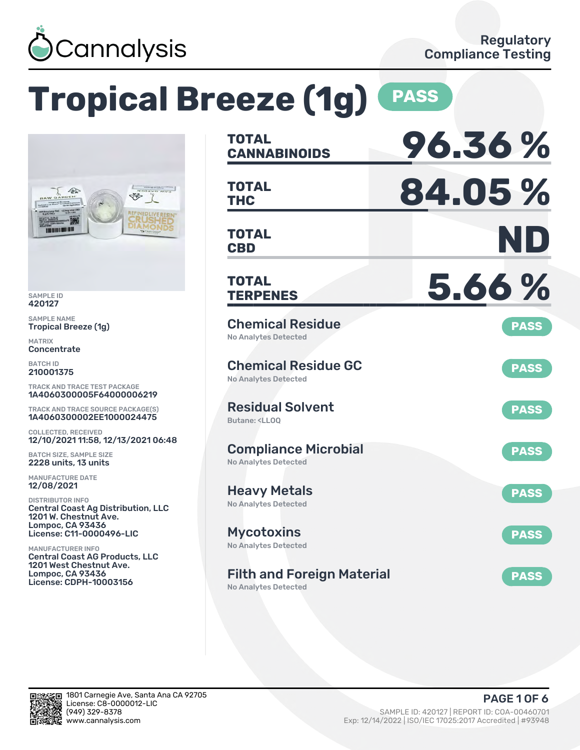

# **Tropical Breeze (1g) PASS**



SAMPLE ID 420127

SAMPLE NAME Tropical Breeze (1g)

MATRIX **Concentrate** 

BATCH ID 210001375

TRACK AND TRACE TEST PACKAGE 1A4060300005F64000006219

TRACK AND TRACE SOURCE PACKAGE(S) 1A4060300002EE1000024475

COLLECTED, RECEIVED 12/10/2021 11:58, 12/13/2021 06:48

BATCH SIZE, SAMPLE SIZE 2228 units, 13 units

MANUFACTURE DATE 12/08/2021

DISTRIBUTOR INFO Central Coast Ag Distribution, LLC 1201 W. Chestnut Ave. Lompoc, CA 93436 License: C11-0000496-LIC

MANUFACTURER INFO Central Coast AG Products, LLC 1201 West Chestnut Ave. Lompoc, CA 93436 License: CDPH-10003156

| <b>TOTAL</b><br><b>CANNABINOIDS</b>                                          | 96.36%      |
|------------------------------------------------------------------------------|-------------|
| TOTAL<br><b>THC</b>                                                          | 84.05%      |
| <b>TOTAL</b><br><b>CBD</b>                                                   | ND          |
| <b>TOTAL</b><br><b>TERPENES</b>                                              | 5.66%       |
| <b>Chemical Residue</b><br><b>No Analytes Detected</b>                       | <b>PASS</b> |
| <b>Chemical Residue GC</b><br><b>No Analytes Detected</b>                    | <b>PASS</b> |
| <b>Residual Solvent</b><br>Butane: <ll00< td=""><td><b>PASS</b></td></ll00<> | <b>PASS</b> |
| <b>Compliance Microbial</b><br><b>No Analytes Detected</b>                   | <b>PASS</b> |
| <b>Heavy Metals</b><br><b>No Analytes Detected</b>                           | <b>PASS</b> |
| <b>Mycotoxins</b><br>No Analytes Detected                                    | <b>PASS</b> |
| <b>Filth and Foreign Material</b><br>No Analytes Detected                    | <b>PASS</b> |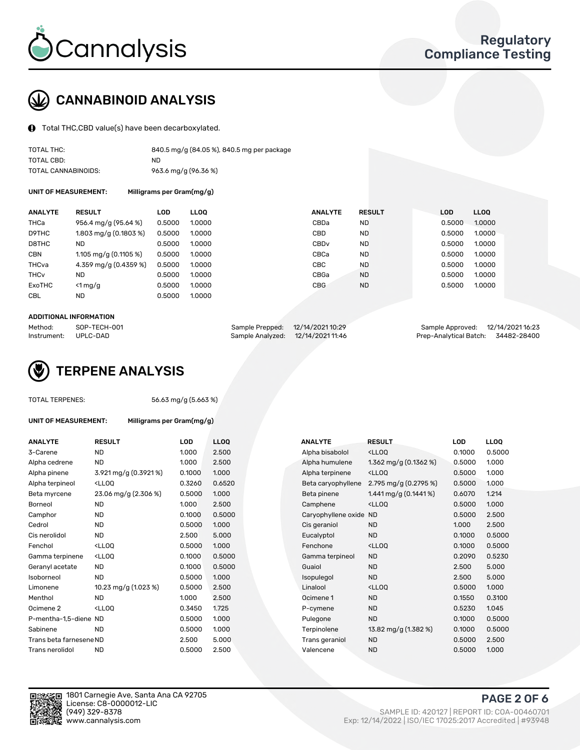

# CANNABINOID ANALYSIS

Total THC,CBD value(s) have been decarboxylated.

| TOTAL THC:          | 840.5 mg/g (84.05 %), 840.5 mg per package |
|---------------------|--------------------------------------------|
| TOTAL CBD:          | ND.                                        |
| TOTAL CANNABINOIDS: | 963.6 mg/g (96.36 %)                       |

UNIT OF MEASUREMENT: Milligrams per Gram(mg/g)

| <b>ANALYTE</b>         | <b>RESULT</b>                       | LOD    | <b>LLOO</b> | <b>ANALYTE</b>   | <b>RESULT</b> | <b>LOD</b> | <b>LLOO</b> |
|------------------------|-------------------------------------|--------|-------------|------------------|---------------|------------|-------------|
| THCa                   | 956.4 mg/g (95.64 %)                | 0.5000 | 1.0000      | CBDa             | <b>ND</b>     | 0.5000     | 1.0000      |
| D9THC                  | 1.803 mg/g $(0.1803\%)$             | 0.5000 | 1.0000      | <b>CBD</b>       | <b>ND</b>     | 0.5000     | 1.0000      |
| D8THC                  | <b>ND</b>                           | 0.5000 | 1.0000      | CBD <sub>v</sub> | <b>ND</b>     | 0.5000     | 1.0000      |
| <b>CBN</b>             | $1.105 \,\mathrm{mag/g}$ (0.1105 %) | 0.5000 | 1.0000      | CBCa             | <b>ND</b>     | 0.5000     | 1.0000      |
| THCva                  | 4.359 mg/g (0.4359 %)               | 0.5000 | 1.0000      | CBC.             | <b>ND</b>     | 0.5000     | 1.0000      |
| <b>THC<sub>v</sub></b> | <b>ND</b>                           | 0.5000 | 1.0000      | CBGa             | <b>ND</b>     | 0.5000     | 1.0000      |
| ExoTHC                 | $<$ 1 mg/g                          | 0.5000 | 1.0000      | <b>CBG</b>       | <b>ND</b>     | 0.5000     | 1.0000      |
| <b>CBL</b>             | ND                                  | 0.5000 | 1.0000      |                  |               |            |             |

#### ADDITIONAL INFORMATION

| Method:              | SOP-TECH-001 | Sample Prepped: 12/14/2021 10:29  | Sample Approved: 12/14/2021 16:23  |  |
|----------------------|--------------|-----------------------------------|------------------------------------|--|
| Instrument: UPLC-DAD |              | Sample Analyzed: 12/14/2021 11:46 | Prep-Analytical Batch: 34482-28400 |  |



TOTAL TERPENES: 56.63 mg/g (5.663 %)

| UNIT OF MEASUREMENT: |          | Milligrams per Gram(mg/g) |
|----------------------|----------|---------------------------|
| ANAI VTE             | 656111 T | $\sim$                    |

| ------                  | ┅◡◡└                                                                                                                                                   | ∟∪ມ    | ∟∟∪น   | <b>AIRALIIL</b>        | 1153951                                            | ∟∪ມ    | ∟∟∪ฉ  |
|-------------------------|--------------------------------------------------------------------------------------------------------------------------------------------------------|--------|--------|------------------------|----------------------------------------------------|--------|-------|
| 3-Carene                | ND                                                                                                                                                     | 1.000  | 2.500  | Alpha bisabolol        | <lloq< td=""><td>0.1000</td><td>0.500</td></lloq<> | 0.1000 | 0.500 |
| Alpha cedrene           | <b>ND</b>                                                                                                                                              | 1.000  | 2.500  | Alpha humulene         | 1.362 mg/g $(0.1362 \%)$                           | 0.5000 | 1.000 |
| Alpha pinene            | 3.921 mg/g (0.3921%)                                                                                                                                   | 0.1000 | 1.000  | Alpha terpinene        | <lloq< td=""><td>0.5000</td><td>1.000</td></lloq<> | 0.5000 | 1.000 |
| Alpha terpineol         | <lloq< td=""><td>0.3260</td><td>0.6520</td><td>Beta caryophyllene</td><td>2.795 mg/g <math>(0.2795\%)</math></td><td>0.5000</td><td>1.000</td></lloq<> | 0.3260 | 0.6520 | Beta caryophyllene     | 2.795 mg/g $(0.2795\%)$                            | 0.5000 | 1.000 |
| Beta myrcene            | 23.06 mg/g (2.306 %)                                                                                                                                   | 0.5000 | 1.000  | Beta pinene            | 1.441 mg/g $(0.1441\%)$                            | 0.6070 | 1.214 |
| Borneol                 | ND.                                                                                                                                                    | 1.000  | 2.500  | Camphene               | <ll0q< td=""><td>0.5000</td><td>1.000</td></ll0q<> | 0.5000 | 1.000 |
| Camphor                 | ND.                                                                                                                                                    | 0.1000 | 0.5000 | Caryophyllene oxide ND |                                                    | 0.5000 | 2.500 |
| Cedrol                  | ND.                                                                                                                                                    | 0.5000 | 1.000  | Cis geraniol           | <b>ND</b>                                          | 1.000  | 2.500 |
| Cis nerolidol           | ND.                                                                                                                                                    | 2.500  | 5.000  | Eucalyptol             | ND.                                                | 0.1000 | 0.500 |
| Fenchol                 | <lloq< td=""><td>0.5000</td><td>1.000</td><td>Fenchone</td><td><ll0q< td=""><td>0.1000</td><td>0.500</td></ll0q<></td></lloq<>                         | 0.5000 | 1.000  | Fenchone               | <ll0q< td=""><td>0.1000</td><td>0.500</td></ll0q<> | 0.1000 | 0.500 |
| Gamma terpinene         | <lloq< td=""><td>0.1000</td><td>0.5000</td><td>Gamma terpineol</td><td><b>ND</b></td><td>0.2090</td><td>0.523</td></lloq<>                             | 0.1000 | 0.5000 | Gamma terpineol        | <b>ND</b>                                          | 0.2090 | 0.523 |
| Geranyl acetate         | ND.                                                                                                                                                    | 0.1000 | 0.5000 | Guaiol                 | ND.                                                | 2.500  | 5.000 |
| Isoborneol              | ND.                                                                                                                                                    | 0.5000 | 1.000  | Isopulegol             | <b>ND</b>                                          | 2.500  | 5.000 |
| Limonene                | 10.23 mg/g (1.023 %)                                                                                                                                   | 0.5000 | 2.500  | Linalool               | <lloq< td=""><td>0.5000</td><td>1.000</td></lloq<> | 0.5000 | 1.000 |
| Menthol                 | ND.                                                                                                                                                    | 1.000  | 2.500  | Ocimene 1              | <b>ND</b>                                          | 0.1550 | 0.310 |
| Ocimene 2               | <ll0q< td=""><td>0.3450</td><td>1.725</td><td>P-cymene</td><td><b>ND</b></td><td>0.5230</td><td>1.045</td></ll0q<>                                     | 0.3450 | 1.725  | P-cymene               | <b>ND</b>                                          | 0.5230 | 1.045 |
| P-mentha-1,5-diene ND   |                                                                                                                                                        | 0.5000 | 1.000  | Pulegone               | <b>ND</b>                                          | 0.1000 | 0.500 |
| Sabinene                | <b>ND</b>                                                                                                                                              | 0.5000 | 1.000  | Terpinolene            | 13.82 mg/g (1.382 %)                               | 0.1000 | 0.500 |
| Trans beta farnesene ND |                                                                                                                                                        | 2.500  | 5.000  | Trans geraniol         | <b>ND</b>                                          | 0.5000 | 2.500 |
| Trans nerolidol         | <b>ND</b>                                                                                                                                              | 0.5000 | 2.500  | Valencene              | <b>ND</b>                                          | 0.5000 | 1.000 |
|                         |                                                                                                                                                        |        |        |                        |                                                    |        |       |

| ANALYTE                 | <b>RESULT</b>                                                                                                                                          | LOD    | <b>LLOQ</b> | <b>ANALYTE</b>         | <b>RESULT</b>                                       | <b>LOD</b> | <b>LLOQ</b> |
|-------------------------|--------------------------------------------------------------------------------------------------------------------------------------------------------|--------|-------------|------------------------|-----------------------------------------------------|------------|-------------|
| 3-Carene                | <b>ND</b>                                                                                                                                              | 1.000  | 2.500       | Alpha bisabolol        | $<$ LLOO                                            | 0.1000     | 0.5000      |
| Alpha cedrene           | <b>ND</b>                                                                                                                                              | 1.000  | 2.500       | Alpha humulene         | 1.362 mg/g $(0.1362 \%)$                            | 0.5000     | 1.000       |
| Alpha pinene            | 3.921 mg/g (0.3921%)                                                                                                                                   | 0.1000 | 1.000       | Alpha terpinene        | <lloq< td=""><td>0.5000</td><td>1.000</td></lloq<>  | 0.5000     | 1.000       |
| Alpha terpineol         | <lloq< td=""><td>0.3260</td><td>0.6520</td><td>Beta caryophyllene</td><td>2.795 mg/g <math>(0.2795\%)</math></td><td>0.5000</td><td>1.000</td></lloq<> | 0.3260 | 0.6520      | Beta caryophyllene     | 2.795 mg/g $(0.2795\%)$                             | 0.5000     | 1.000       |
| Beta myrcene            | 23.06 mg/g (2.306 %)                                                                                                                                   | 0.5000 | 1.000       | Beta pinene            | 1.441 mg/g $(0.1441\%)$                             | 0.6070     | 1.214       |
| Borneol                 | <b>ND</b>                                                                                                                                              | 1.000  | 2.500       | Camphene               | <lloq< td=""><td>0.5000</td><td>1.000</td></lloq<>  | 0.5000     | 1.000       |
| Camphor                 | <b>ND</b>                                                                                                                                              | 0.1000 | 0.5000      | Caryophyllene oxide ND |                                                     | 0.5000     | 2.500       |
| Cedrol                  | <b>ND</b>                                                                                                                                              | 0.5000 | 1.000       | Cis geraniol           | <b>ND</b>                                           | 1.000      | 2.500       |
| Cis nerolidol           | <b>ND</b>                                                                                                                                              | 2.500  | 5.000       | Eucalyptol             | <b>ND</b>                                           | 0.1000     | 0.5000      |
| Fenchol                 | <lloq< td=""><td>0.5000</td><td>1.000</td><td>Fenchone</td><td><lloq< td=""><td>0.1000</td><td>0.5000</td></lloq<></td></lloq<>                        | 0.5000 | 1.000       | Fenchone               | <lloq< td=""><td>0.1000</td><td>0.5000</td></lloq<> | 0.1000     | 0.5000      |
| Gamma terpinene         | <lloq< td=""><td>0.1000</td><td>0.5000</td><td>Gamma terpineol</td><td><b>ND</b></td><td>0.2090</td><td>0.5230</td></lloq<>                            | 0.1000 | 0.5000      | Gamma terpineol        | <b>ND</b>                                           | 0.2090     | 0.5230      |
| Geranyl acetate         | <b>ND</b>                                                                                                                                              | 0.1000 | 0.5000      | Guaiol                 | <b>ND</b>                                           | 2.500      | 5.000       |
| Isoborneol              | <b>ND</b>                                                                                                                                              | 0.5000 | 1.000       | Isopulegol             | <b>ND</b>                                           | 2.500      | 5.000       |
| Limonene                | 10.23 mg/g $(1.023\%)$                                                                                                                                 | 0.5000 | 2.500       | Linalool               | <lloq< td=""><td>0.5000</td><td>1.000</td></lloq<>  | 0.5000     | 1.000       |
| Menthol                 | <b>ND</b>                                                                                                                                              | 1.000  | 2.500       | Ocimene 1              | <b>ND</b>                                           | 0.1550     | 0.3100      |
| Ocimene 2               | <lloq< td=""><td>0.3450</td><td>1.725</td><td>P-cymene</td><td><b>ND</b></td><td>0.5230</td><td>1.045</td></lloq<>                                     | 0.3450 | 1.725       | P-cymene               | <b>ND</b>                                           | 0.5230     | 1.045       |
| P-mentha-1,5-diene ND   |                                                                                                                                                        | 0.5000 | 1.000       | Pulegone               | <b>ND</b>                                           | 0.1000     | 0.5000      |
| Sabinene                | <b>ND</b>                                                                                                                                              | 0.5000 | 1.000       | Terpinolene            | 13.82 mg/g (1.382 %)                                | 0.1000     | 0.5000      |
| Trans beta farnesene ND |                                                                                                                                                        | 2.500  | 5.000       | Trans geraniol         | <b>ND</b>                                           | 0.5000     | 2.500       |
| Trans nerolidol         | <b>ND</b>                                                                                                                                              | 0.5000 | 2.500       | Valencene              | <b>ND</b>                                           | 0.5000     | 1.000       |



1801 Carnegie Ave, Santa Ana CA 92705 License: C8-0000012-LIC<br>(949) 329-8378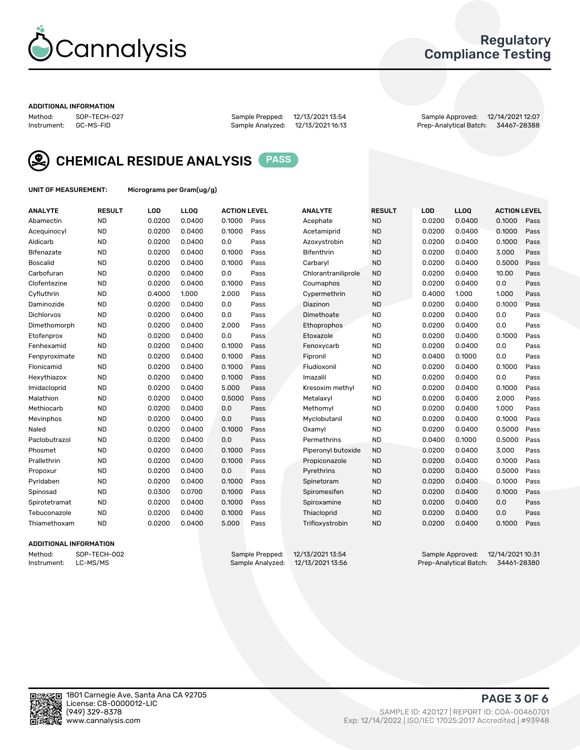

# Regulatory Compliance Testing

#### ADDITIONAL INFORMATION

Method: SOP-TECH-027 Sample Prepped: 12/13/2021 13:54 Sample Approved: 12/14/2021 12:07 Prep-Analytical Batch: 34467-28388



CHEMICAL RESIDUE ANALYSIS PASS

UNIT OF MEASUREMENT: Micrograms per Gram(ug/g)

| <b>ANALYTE</b>    | <b>RESULT</b> | LOD    | LL <sub>OO</sub> | <b>ACTION LEVEL</b> |      | <b>ANALYTE</b>      | <b>RESULT</b> | LOD    | <b>LLOQ</b> | <b>ACTION LEVEL</b> |      |
|-------------------|---------------|--------|------------------|---------------------|------|---------------------|---------------|--------|-------------|---------------------|------|
| Abamectin         | <b>ND</b>     | 0.0200 | 0.0400           | 0.1000              | Pass | Acephate            | <b>ND</b>     | 0.0200 | 0.0400      | 0.1000              | Pass |
| Acequinocyl       | <b>ND</b>     | 0.0200 | 0.0400           | 0.1000              | Pass | Acetamiprid         | <b>ND</b>     | 0.0200 | 0.0400      | 0.1000              | Pass |
| Aldicarb          | <b>ND</b>     | 0.0200 | 0.0400           | 0.0                 | Pass | Azoxystrobin        | <b>ND</b>     | 0.0200 | 0.0400      | 0.1000              | Pass |
| Bifenazate        | <b>ND</b>     | 0.0200 | 0.0400           | 0.1000              | Pass | <b>Bifenthrin</b>   | <b>ND</b>     | 0.0200 | 0.0400      | 3.000               | Pass |
| <b>Boscalid</b>   | <b>ND</b>     | 0.0200 | 0.0400           | 0.1000              | Pass | Carbaryl            | <b>ND</b>     | 0.0200 | 0.0400      | 0.5000              | Pass |
| Carbofuran        | <b>ND</b>     | 0.0200 | 0.0400           | 0.0                 | Pass | Chlorantraniliprole | <b>ND</b>     | 0.0200 | 0.0400      | 10.00               | Pass |
| Clofentezine      | <b>ND</b>     | 0.0200 | 0.0400           | 0.1000              | Pass | Coumaphos           | <b>ND</b>     | 0.0200 | 0.0400      | 0.0                 | Pass |
| Cyfluthrin        | <b>ND</b>     | 0.4000 | 1.000            | 2.000               | Pass | Cypermethrin        | <b>ND</b>     | 0.4000 | 1.000       | 1.000               | Pass |
| Daminozide        | <b>ND</b>     | 0.0200 | 0.0400           | 0.0                 | Pass | Diazinon            | <b>ND</b>     | 0.0200 | 0.0400      | 0.1000              | Pass |
| <b>Dichlorvos</b> | <b>ND</b>     | 0.0200 | 0.0400           | 0.0                 | Pass | Dimethoate          | <b>ND</b>     | 0.0200 | 0.0400      | 0.0                 | Pass |
| Dimethomorph      | <b>ND</b>     | 0.0200 | 0.0400           | 2.000               | Pass | <b>Ethoprophos</b>  | <b>ND</b>     | 0.0200 | 0.0400      | 0.0                 | Pass |
| Etofenprox        | <b>ND</b>     | 0.0200 | 0.0400           | 0.0                 | Pass | Etoxazole           | <b>ND</b>     | 0.0200 | 0.0400      | 0.1000              | Pass |
| Fenhexamid        | <b>ND</b>     | 0.0200 | 0.0400           | 0.1000              | Pass | Fenoxycarb          | <b>ND</b>     | 0.0200 | 0.0400      | 0.0                 | Pass |
| Fenpyroximate     | <b>ND</b>     | 0.0200 | 0.0400           | 0.1000              | Pass | Fipronil            | <b>ND</b>     | 0.0400 | 0.1000      | 0.0                 | Pass |
| Flonicamid        | <b>ND</b>     | 0.0200 | 0.0400           | 0.1000              | Pass | Fludioxonil         | <b>ND</b>     | 0.0200 | 0.0400      | 0.1000              | Pass |
| Hexythiazox       | <b>ND</b>     | 0.0200 | 0.0400           | 0.1000              | Pass | Imazalil            | <b>ND</b>     | 0.0200 | 0.0400      | 0.0                 | Pass |
| Imidacloprid      | <b>ND</b>     | 0.0200 | 0.0400           | 5.000               | Pass | Kresoxim methyl     | <b>ND</b>     | 0.0200 | 0.0400      | 0.1000              | Pass |
| Malathion         | <b>ND</b>     | 0.0200 | 0.0400           | 0.5000              | Pass | Metalaxyl           | <b>ND</b>     | 0.0200 | 0.0400      | 2.000               | Pass |
| Methiocarb        | <b>ND</b>     | 0.0200 | 0.0400           | 0.0                 | Pass | Methomyl            | <b>ND</b>     | 0.0200 | 0.0400      | 1.000               | Pass |
| Mevinphos         | <b>ND</b>     | 0.0200 | 0.0400           | 0.0                 | Pass | Myclobutanil        | <b>ND</b>     | 0.0200 | 0.0400      | 0.1000              | Pass |
| Naled             | <b>ND</b>     | 0.0200 | 0.0400           | 0.1000              | Pass | Oxamyl              | <b>ND</b>     | 0.0200 | 0.0400      | 0.5000              | Pass |
| Paclobutrazol     | <b>ND</b>     | 0.0200 | 0.0400           | 0.0                 | Pass | Permethrins         | <b>ND</b>     | 0.0400 | 0.1000      | 0.5000              | Pass |
| Phosmet           | <b>ND</b>     | 0.0200 | 0.0400           | 0.1000              | Pass | Piperonyl butoxide  | <b>ND</b>     | 0.0200 | 0.0400      | 3.000               | Pass |
| Prallethrin       | <b>ND</b>     | 0.0200 | 0.0400           | 0.1000              | Pass | Propiconazole       | <b>ND</b>     | 0.0200 | 0.0400      | 0.1000              | Pass |
| Propoxur          | <b>ND</b>     | 0.0200 | 0.0400           | 0.0                 | Pass | Pyrethrins          | <b>ND</b>     | 0.0200 | 0.0400      | 0.5000              | Pass |
| Pyridaben         | <b>ND</b>     | 0.0200 | 0.0400           | 0.1000              | Pass | Spinetoram          | <b>ND</b>     | 0.0200 | 0.0400      | 0.1000              | Pass |
| Spinosad          | <b>ND</b>     | 0.0300 | 0.0700           | 0.1000              | Pass | Spiromesifen        | <b>ND</b>     | 0.0200 | 0.0400      | 0.1000              | Pass |
| Spirotetramat     | <b>ND</b>     | 0.0200 | 0.0400           | 0.1000              | Pass | Spiroxamine         | <b>ND</b>     | 0.0200 | 0.0400      | 0.0                 | Pass |
| Tebuconazole      | <b>ND</b>     | 0.0200 | 0.0400           | 0.1000              | Pass | Thiacloprid         | <b>ND</b>     | 0.0200 | 0.0400      | 0.0                 | Pass |
| Thiamethoxam      | <b>ND</b>     | 0.0200 | 0.0400           | 5.000               | Pass | Trifloxystrobin     | <b>ND</b>     | 0.0200 | 0.0400      | 0.1000              | Pass |

### ADDITIONAL INFORMATION

Method: SOP-TECH-002 Sample Prepped: 12/13/2021 13:54 Sample Approved: 12/14/2021 10:31<br>Instrument: LC-MS/MS Sample Analyzed: 12/13/2021 13:56 Prep-Analytical Batch: 34461-28380 Prep-Analytical Batch: 34461-28380

PAGE 3 OF 6

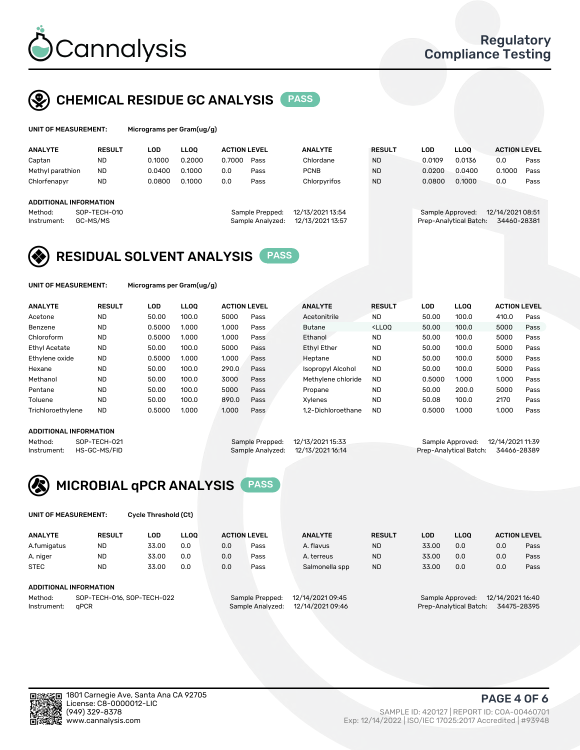

# CHEMICAL RESIDUE GC ANALYSIS PASS

| UNIT OF MEASUREMENT: |               | Micrograms per Gram(ug/g) |      |                     |                |               |     |      |                     |
|----------------------|---------------|---------------------------|------|---------------------|----------------|---------------|-----|------|---------------------|
| ANALYTE              | <b>RESULT</b> | ∟OD                       | LOO. | <b>ACTION LEVEL</b> | <b>ANALYTE</b> | <b>RESULT</b> | LOD | LLOO | <b>ACTION LEVEL</b> |

| Captan                        | <b>ND</b>    | 0.1000 | 0.2000 | 0.7000 | Pass             | Chlordane        | <b>ND</b> | 0.0109                 | 0.0136 | 0.0              | Pass |
|-------------------------------|--------------|--------|--------|--------|------------------|------------------|-----------|------------------------|--------|------------------|------|
| Methyl parathion              | <b>ND</b>    | 0.0400 | 0.1000 | 0.0    | Pass             | <b>PCNB</b>      | ND        | 0.0200                 | 0.0400 | 0.1000           | Pass |
| Chlorfenapyr                  | <b>ND</b>    | 0.0800 | 0.1000 | 0.0    | Pass             | Chlorpyrifos     | <b>ND</b> | 0.0800                 | 0.1000 | 0.0              | Pass |
|                               |              |        |        |        |                  |                  |           |                        |        |                  |      |
| <b>ADDITIONAL INFORMATION</b> |              |        |        |        |                  |                  |           |                        |        |                  |      |
| Method:                       | SOP-TECH-010 |        |        |        | Sample Prepped:  | 12/13/2021 13:54 |           | Sample Approved:       |        | 12/14/2021 08:51 |      |
| Instrument:                   | GC-MS/MS     |        |        |        | Sample Analyzed: | 12/13/2021 13:57 |           | Prep-Analytical Batch: |        | 34460-28381      |      |
|                               |              |        |        |        |                  |                  |           |                        |        |                  |      |

# RESIDUAL SOLVENT ANALYSIS **PASS**

UNIT OF MEASUREMENT: Micrograms per Gram(ug/g)

| <b>ANALYTE</b>       | <b>RESULT</b> | <b>LOD</b> | <b>LLOO</b> | <b>ACTION LEVEL</b> |      | <b>ANALYTE</b>           | <b>RESULT</b>                                                               | LOD    | <b>LLOO</b> | <b>ACTION LEVEL</b> |      |
|----------------------|---------------|------------|-------------|---------------------|------|--------------------------|-----------------------------------------------------------------------------|--------|-------------|---------------------|------|
| Acetone              | <b>ND</b>     | 50.00      | 100.0       | 5000                | Pass | Acetonitrile             | <b>ND</b>                                                                   | 50.00  | 100.0       | 410.0               | Pass |
| Benzene              | <b>ND</b>     | 0.5000     | 1.000       | 1.000               | Pass | <b>Butane</b>            | <lloo< td=""><td>50.00</td><td>100.0</td><td>5000</td><td>Pass</td></lloo<> | 50.00  | 100.0       | 5000                | Pass |
| Chloroform           | <b>ND</b>     | 0.5000     | 1.000       | 1.000               | Pass | Ethanol                  | <b>ND</b>                                                                   | 50.00  | 100.0       | 5000                | Pass |
| <b>Ethyl Acetate</b> | <b>ND</b>     | 50.00      | 100.0       | 5000                | Pass | <b>Ethyl Ether</b>       | <b>ND</b>                                                                   | 50.00  | 100.0       | 5000                | Pass |
| Ethylene oxide       | <b>ND</b>     | 0.5000     | 1.000       | 1.000               | Pass | Heptane                  | <b>ND</b>                                                                   | 50.00  | 100.0       | 5000                | Pass |
| Hexane               | <b>ND</b>     | 50.00      | 100.0       | 290.0               | Pass | <b>Isopropyl Alcohol</b> | <b>ND</b>                                                                   | 50.00  | 100.0       | 5000                | Pass |
| Methanol             | <b>ND</b>     | 50.00      | 100.0       | 3000                | Pass | Methylene chloride       | <b>ND</b>                                                                   | 0.5000 | 1.000       | 1.000               | Pass |
| Pentane              | <b>ND</b>     | 50.00      | 100.0       | 5000                | Pass | Propane                  | <b>ND</b>                                                                   | 50.00  | 200.0       | 5000                | Pass |
| Toluene              | <b>ND</b>     | 50.00      | 100.0       | 890.0               | Pass | Xvlenes                  | <b>ND</b>                                                                   | 50.08  | 100.0       | 2170                | Pass |
| Trichloroethylene    | <b>ND</b>     | 0.5000     | 1.000       | 1.000               | Pass | 1.2-Dichloroethane       | <b>ND</b>                                                                   | 0.5000 | 1.000       | 1.000               | Pass |

### ADDITIONAL INFORMATION

|         | ADDITIONAL INFORMATION   |                                   |                                    |  |
|---------|--------------------------|-----------------------------------|------------------------------------|--|
| Method: | SOP-TECH-021             | Sample Prepped: 12/13/2021 15:33  | Sample Approved: 12/14/2021 11:39  |  |
|         | Instrument: HS-GC-MS/FID | Sample Analyzed: 12/13/2021 16:14 | Prep-Analytical Batch: 34466-28389 |  |



UNIT OF MEASUREMENT: Cycle Threshold (Ct)

| <b>ANALYTE</b>                        | <b>RESULT</b> | LOD   | <b>LLOO</b> |     | <b>ACTION LEVEL</b> | <b>ANALYTE</b>   | <b>RESULT</b> | <b>LOD</b>                           | <b>LLOO</b>            | <b>ACTION LEVEL</b> |             |
|---------------------------------------|---------------|-------|-------------|-----|---------------------|------------------|---------------|--------------------------------------|------------------------|---------------------|-------------|
| A.fumigatus                           | <b>ND</b>     | 33.00 | 0.0         | 0.0 | Pass                | A. flavus        | <b>ND</b>     | 33.00                                | 0.0                    | 0.0                 | Pass        |
| A. niger                              | <b>ND</b>     | 33.00 | 0.0         | 0.0 | Pass                | A. terreus       | <b>ND</b>     | 33.00                                | 0.0                    | 0.0                 | Pass        |
| <b>STEC</b>                           | <b>ND</b>     | 33.00 | 0.0         | 0.0 | Pass                | Salmonella spp   | <b>ND</b>     | 33.00                                | 0.0                    | 0.0                 | Pass        |
|                                       |               |       |             |     |                     |                  |               |                                      |                        |                     |             |
| ADDITIONAL INFORMATION                |               |       |             |     |                     |                  |               |                                      |                        |                     |             |
| SOP-TECH-016, SOP-TECH-022<br>Method: |               |       |             |     | Sample Prepped:     | 12/14/2021 09:45 |               | 12/14/2021 16:40<br>Sample Approved: |                        |                     |             |
| Instrument:                           | aPCR          |       |             |     | Sample Analyzed:    | 12/14/2021 09:46 |               |                                      | Prep-Analytical Batch: |                     | 34475-28395 |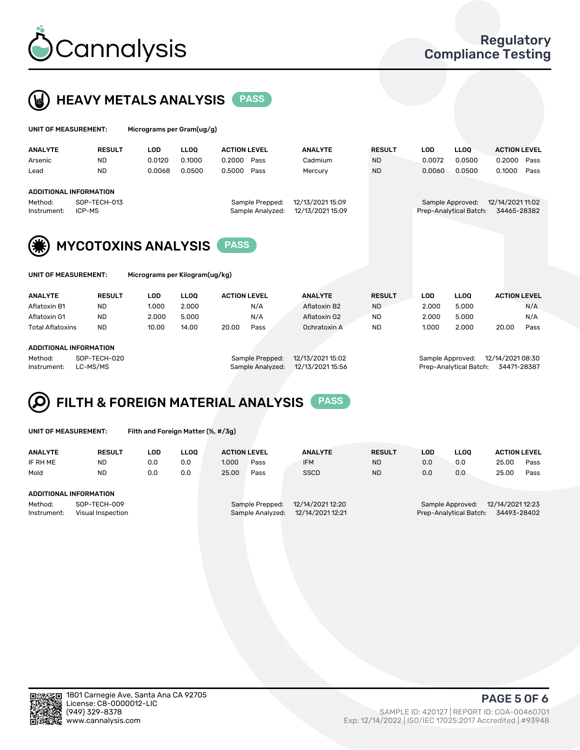



| UNIT OF MEASUREMENT: |                               | Micrograms per Gram(ug/g) |             |                     |                  |                  |               |            |                        |                     |      |
|----------------------|-------------------------------|---------------------------|-------------|---------------------|------------------|------------------|---------------|------------|------------------------|---------------------|------|
| <b>ANALYTE</b>       | <b>RESULT</b>                 | <b>LOD</b>                | <b>LLOO</b> | <b>ACTION LEVEL</b> |                  | <b>ANALYTE</b>   | <b>RESULT</b> | <b>LOD</b> | <b>LLOQ</b>            | <b>ACTION LEVEL</b> |      |
| Arsenic              | <b>ND</b>                     | 0.0120                    | 0.1000      | 0.2000              | Pass             | Cadmium          | <b>ND</b>     | 0.0072     | 0.0500                 | 0.2000              | Pass |
| Lead                 | <b>ND</b>                     | 0.0068                    | 0.0500      | 0.5000              | Pass             | Mercury          | <b>ND</b>     | 0.0060     | 0.0500                 | 0.1000              | Pass |
|                      | <b>ADDITIONAL INFORMATION</b> |                           |             |                     |                  |                  |               |            |                        |                     |      |
| Method:              | SOP-TECH-013                  |                           |             |                     | Sample Prepped:  | 12/13/2021 15:09 |               |            | Sample Approved:       | 12/14/2021 11:02    |      |
| Instrument:          | ICP-MS                        |                           |             |                     | Sample Analyzed: | 12/13/2021 15:09 |               |            | Prep-Analytical Batch: | 34465-28382         |      |
|                      |                               |                           |             |                     |                  |                  |               |            |                        |                     |      |
| (第)                  | <b>MYCOTOXINS ANALYSIS</b>    |                           |             | <b>PASS</b>         |                  |                  |               |            |                        |                     |      |

UNIT OF MEASUREMENT: Micrograms per Kilogram(ug/kg)

| <b>ANALYTE</b>          | <b>RESULT</b> | LOD   | <b>LLOO</b> | <b>ACTION LEVEL</b> |      | <b>ANALYTE</b> |           | <b>RESULT</b> | LOD   | <b>LLOO</b> | <b>ACTION LEVEL</b> |      |
|-------------------------|---------------|-------|-------------|---------------------|------|----------------|-----------|---------------|-------|-------------|---------------------|------|
| Aflatoxin B1            | <b>ND</b>     | 1.000 | 2.000       |                     | N/A  | Aflatoxin B2   | <b>ND</b> |               | 2.000 | 5.000       |                     | N/A  |
| Aflatoxin G1            | <b>ND</b>     | 2.000 | 5.000       |                     | N/A  | Aflatoxin G2   | <b>ND</b> |               | 2.000 | 5.000       |                     | N/A  |
| <b>Total Aflatoxins</b> | <b>ND</b>     | 10.00 | 14.00       | 20.00               | Pass | Ochratoxin A   | <b>ND</b> |               | 1.000 | 2.000       | 20.00               | Pass |
|                         |               |       |             |                     |      |                |           |               |       |             |                     |      |
| ADDITIONAL INFODMATION  |               |       |             |                     |      |                |           |               |       |             |                     |      |

#### ADDITIONAL INFORMATION

Method: SOP-TECH-020 Sample Prepped: 12/13/2021 15:02 Sample Approved: 12/14/2021 08:30 Instrument: LC-MS/MS Sample Analyzed: 12/13/2021 15:56 Prep-Analytical Batch: 34471-28387

# FILTH & FOREIGN MATERIAL ANALYSIS PASS

UNIT OF MEASUREMENT: Filth and Foreign Matter (%, #/3g)

| <b>ANALYTE</b>                                              | <b>RESULT</b> | LOD. | <b>LLOO</b> | <b>ACTION LEVEL</b>                                                         |      | <b>ANALYTE</b> | <b>RESULT</b> | LOD                                                                           | <b>LLOO</b> | <b>ACTION LEVEL</b> |      |  |
|-------------------------------------------------------------|---------------|------|-------------|-----------------------------------------------------------------------------|------|----------------|---------------|-------------------------------------------------------------------------------|-------------|---------------------|------|--|
| IF RH ME                                                    | <b>ND</b>     | 0.0  | 0.0         | 1.000                                                                       | Pass | <b>IFM</b>     | <b>ND</b>     | 0.0                                                                           | 0.0         | 25.00               | Pass |  |
| Mold                                                        | <b>ND</b>     | 0.0  | 0.0         | 25.00                                                                       | Pass | <b>SSCD</b>    | <b>ND</b>     | 0.0                                                                           | 0.0         | 25.00               | Pass |  |
| ADDITIONAL INFORMATION                                      |               |      |             |                                                                             |      |                |               |                                                                               |             |                     |      |  |
| Method:<br>SOP-TECH-009<br>Instrument:<br>Visual Inspection |               |      |             | 12/14/2021 12:20<br>Sample Prepped:<br>12/14/2021 12:21<br>Sample Analyzed: |      |                |               | 12/14/2021 12:23<br>Sample Approved:<br>Prep-Analytical Batch:<br>34493-28402 |             |                     |      |  |



PAGE 5 OF 6